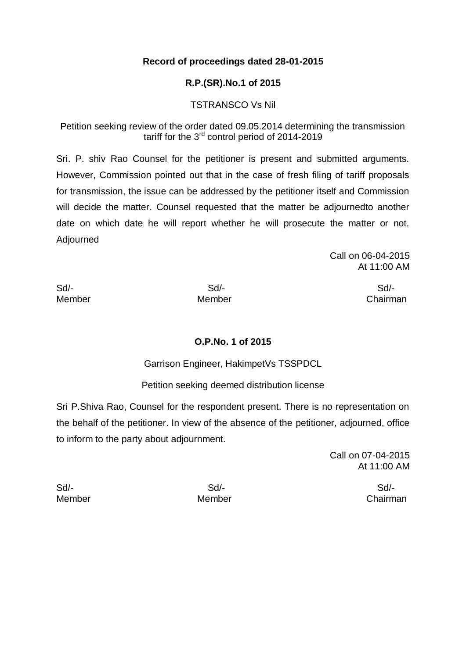### **Record of proceedings dated 28-01-2015**

## **R.P.(SR).No.1 of 2015**

### TSTRANSCO Vs Nil

Petition seeking review of the order dated 09.05.2014 determining the transmission tariff for the 3rd control period of 2014-2019

Sri. P. shiv Rao Counsel for the petitioner is present and submitted arguments. However, Commission pointed out that in the case of fresh filing of tariff proposals for transmission, the issue can be addressed by the petitioner itself and Commission will decide the matter. Counsel requested that the matter be adjournedto another date on which date he will report whether he will prosecute the matter or not. Adjourned

> Call on 06-04-2015 At 11:00 AM

Sd/- Sd/- Sd/-

Member Member Chairman

#### **O.P.No. 1 of 2015**

Garrison Engineer, HakimpetVs TSSPDCL

Petition seeking deemed distribution license

Sri P.Shiva Rao, Counsel for the respondent present. There is no representation on the behalf of the petitioner. In view of the absence of the petitioner, adjourned, office to inform to the party about adjournment.

> Call on 07-04-2015 At 11:00 AM

Sd/- Sd/- Sd/-

Member Member Chairman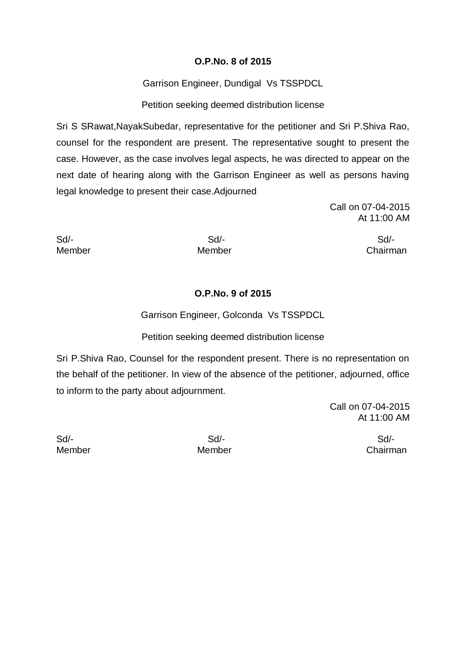## **O.P.No. 8 of 2015**

Garrison Engineer, Dundigal Vs TSSPDCL

Petition seeking deemed distribution license

Sri S SRawat,NayakSubedar, representative for the petitioner and Sri P.Shiva Rao, counsel for the respondent are present. The representative sought to present the case. However, as the case involves legal aspects, he was directed to appear on the next date of hearing along with the Garrison Engineer as well as persons having legal knowledge to present their case.Adjourned

> Call on 07-04-2015 At 11:00 AM

Sd/- Sd/- Sd/- Member Member Chairman

## **O.P.No. 9 of 2015**

Garrison Engineer, Golconda Vs TSSPDCL

## Petition seeking deemed distribution license

Sri P.Shiva Rao, Counsel for the respondent present. There is no representation on the behalf of the petitioner. In view of the absence of the petitioner, adjourned, office to inform to the party about adjournment.

> Call on 07-04-2015 At 11:00 AM

Sd/- Sd/- Sd/-

Member Member Chairman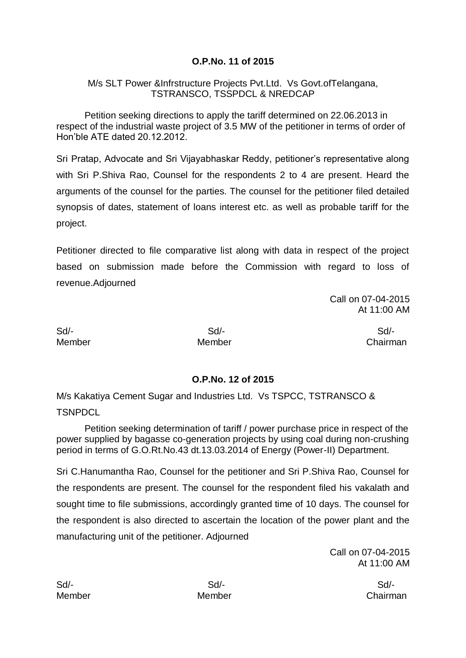# **O.P.No. 11 of 2015**

### M/s SLT Power &Infrstructure Projects Pvt.Ltd. Vs Govt.ofTelangana, TSTRANSCO, TSSPDCL & NREDCAP

Petition seeking directions to apply the tariff determined on 22.06.2013 in respect of the industrial waste project of 3.5 MW of the petitioner in terms of order of Hon'ble ATE dated 20.12.2012.

Sri Pratap, Advocate and Sri Vijayabhaskar Reddy, petitioner's representative along with Sri P.Shiva Rao, Counsel for the respondents 2 to 4 are present. Heard the arguments of the counsel for the parties. The counsel for the petitioner filed detailed synopsis of dates, statement of loans interest etc. as well as probable tariff for the project.

Petitioner directed to file comparative list along with data in respect of the project based on submission made before the Commission with regard to loss of revenue.Adjourned

> Call on 07-04-2015 At 11:00 AM

Sd/- Sd/- Sd/-

Member Member Chairman

## **O.P.No. 12 of 2015**

M/s Kakatiya Cement Sugar and Industries Ltd. Vs TSPCC, TSTRANSCO & **TSNPDCL** 

Petition seeking determination of tariff / power purchase price in respect of the power supplied by bagasse co-generation projects by using coal during non-crushing period in terms of G.O.Rt.No.43 dt.13.03.2014 of Energy (Power-II) Department.

Sri C.Hanumantha Rao, Counsel for the petitioner and Sri P.Shiva Rao, Counsel for the respondents are present. The counsel for the respondent filed his vakalath and sought time to file submissions, accordingly granted time of 10 days. The counsel for the respondent is also directed to ascertain the location of the power plant and the manufacturing unit of the petitioner. Adjourned

> Call on 07-04-2015 At 11:00 AM

Member Member Chairman

Sd/- Sd/- Sd/-